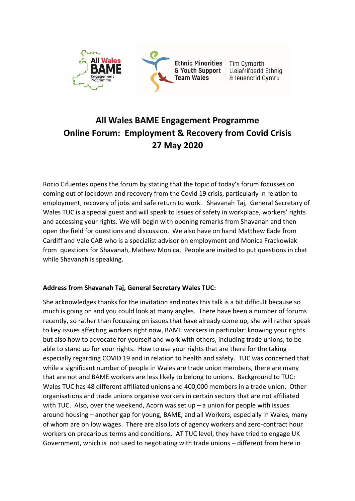

# **All Wales BAME Engagement Programme Online Forum: Employment & Recovery from Covid Crisis 27 May 2020**

Rocio Cifuentes opens the forum by stating that the topic of today's forum focusses on coming out of lockdown and recovery from the Covid 19 crisis, particularly in relation to employment, recovery of jobs and safe return to work. Shavanah Taj, General Secretary of Wales TUC is a special guest and will speak to issues of safety in workplace, workers' rights and accessing your rights. We will begin with opening remarks from Shavanah and then open the field for questions and discussion. We also have on hand Matthew Eade from Cardiff and Vale CAB who is a specialist advisor on employment and Monica Frackowiak from questions for Shavanah, Mathew Monica, People are invited to put questions in chat while Shavanah is speaking.

# **Address from Shavanah Taj, General Secretary Wales TUC:**

She acknowledges thanks for the invitation and notes this talk is a bit difficult because so much is going on and you could look at many angles. There have been a number of forums recently, so rather than focussing on issues that have already come up, she will rather speak to key issues affecting workers right now, BAME workers in particular: knowing your rights but also how to advocate for yourself and work with others, including trade unions, to be able to stand up for your rights. How to use your rights that are there for the taking – especially regarding COVID 19 and in relation to health and safety. TUC was concerned that while a significant number of people in Wales are trade union members, there are many that are not and BAME workers are less likely to belong to unions. Background to TUC: Wales TUC has 48 different affiliated unions and 400,000 members in a trade union. Other organisations and trade unions organise workers in certain sectors that are not affiliated with TUC. Also, over the weekend, Acorn was set up  $-$  a union for people with issues around housing – another gap for young, BAME, and all Workers, especially in Wales, many of whom are on low wages. There are also lots of agency workers and zero-contract hour workers on precarious terms and conditions. AT TUC level, they have tried to engage UK Government, which is not used to negotiating with trade unions – different from here in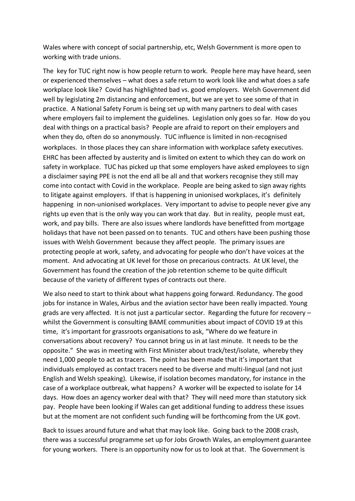Wales where with concept of social partnership, etc, Welsh Government is more open to working with trade unions.

The key for TUC right now is how people return to work. People here may have heard, seen or experienced themselves – what does a safe return to work look like and what does a safe workplace look like? Covid has highlighted bad vs. good employers. Welsh Government did well by legislating 2m distancing and enforcement, but we are yet to see some of that in practice. A National Safety Forum is being set up with many partners to deal with cases where employers fail to implement the guidelines. Legislation only goes so far. How do you deal with things on a practical basis? People are afraid to report on their employers and when they do, often do so anonymously. TUC influence is limited in non-recognised workplaces. In those places they can share information with workplace safety executives. EHRC has been affected by austerity and is limited on extent to which they can do work on safety in workplace. TUC has picked up that some employers have asked employees to sign a disclaimer saying PPE is not the end all be all and that workers recognise they still may come into contact with Covid in the workplace. People are being asked to sign away rights to litigate against employers. If that is happening in unionised workplaces, it's definitely happening in non-unionised workplaces. Very important to advise to people never give any rights up even that is the only way you can work that day. But in reality, people must eat, work, and pay bills. There are also issues where landlords have benefitted from mortgage holidays that have not been passed on to tenants. TUC and others have been pushing those issues with Welsh Government because they affect people. The primary issues are protecting people at work, safety, and advocating for people who don't have voices at the moment. And advocating at UK level for those on precarious contracts. At UK level, the Government has found the creation of the job retention scheme to be quite difficult because of the variety of different types of contracts out there.

We also need to start to think about what happens going forward. Redundancy. The good jobs for instance in Wales, Airbus and the aviation sector have been really impacted. Young grads are very affected. It is not just a particular sector. Regarding the future for recovery – whilst the Government is consulting BAME communities about impact of COVID 19 at this time, it's important for grassroots organisations to ask, "Where do we feature in conversations about recovery? You cannot bring us in at last minute. It needs to be the opposite." She was in meeting with First Minister about track/test/isolate, whereby they need 1,000 people to act as tracers. The point has been made that it's important that individuals employed as contact tracers need to be diverse and multi-lingual (and not just English and Welsh speaking). Likewise, if isolation becomes mandatory, for instance in the case of a workplace outbreak, what happens? A worker will be expected to isolate for 14 days. How does an agency worker deal with that? They will need more than statutory sick pay. People have been looking if Wales can get additional funding to address these issues but at the moment are not confident such funding will be forthcoming from the UK govt.

Back to issues around future and what that may look like. Going back to the 2008 crash, there was a successful programme set up for Jobs Growth Wales, an employment guarantee for young workers. There is an opportunity now for us to look at that. The Government is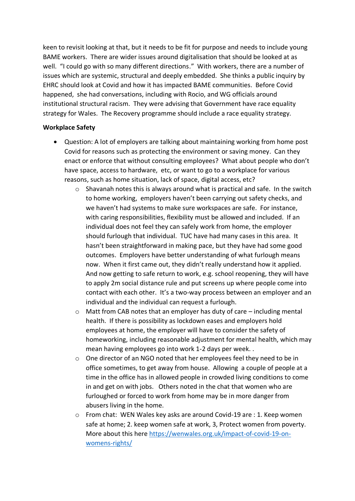keen to revisit looking at that, but it needs to be fit for purpose and needs to include young BAME workers. There are wider issues around digitalisation that should be looked at as well. "I could go with so many different directions." With workers, there are a number of issues which are systemic, structural and deeply embedded. She thinks a public inquiry by EHRC should look at Covid and how it has impacted BAME communities. Before Covid happened, she had conversations, including with Rocio, and WG officials around institutional structural racism. They were advising that Government have race equality strategy for Wales. The Recovery programme should include a race equality strategy.

#### **Workplace Safety**

- Question: A lot of employers are talking about maintaining working from home post Covid for reasons such as protecting the environment or saving money. Can they enact or enforce that without consulting employees? What about people who don't have space, access to hardware, etc, or want to go to a workplace for various reasons, such as home situation, lack of space, digital access, etc?
	- $\circ$  Shavanah notes this is always around what is practical and safe. In the switch to home working, employers haven't been carrying out safety checks, and we haven't had systems to make sure workspaces are safe. For instance, with caring responsibilities, flexibility must be allowed and included. If an individual does not feel they can safely work from home, the employer should furlough that individual. TUC have had many cases in this area. It hasn't been straightforward in making pace, but they have had some good outcomes. Employers have better understanding of what furlough means now. When it first came out, they didn't really understand how it applied. And now getting to safe return to work, e.g. school reopening, they will have to apply 2m social distance rule and put screens up where people come into contact with each other. It's a two-way process between an employer and an individual and the individual can request a furlough.
	- o Matt from CAB notes that an employer has duty of care including mental health. If there is possibility as lockdown eases and employers hold employees at home, the employer will have to consider the safety of homeworking, including reasonable adjustment for mental health, which may mean having employees go into work 1-2 days per week. .
	- $\circ$  One director of an NGO noted that her employees feel they need to be in office sometimes, to get away from house. Allowing a couple of people at a time in the office has in allowed people in crowded living conditions to come in and get on with jobs. Others noted in the chat that women who are furloughed or forced to work from home may be in more danger from abusers living in the home.
	- o From chat: WEN Wales key asks are around Covid-19 are : 1. Keep women safe at home; 2. keep women safe at work, 3, Protect women from poverty. More about this here [https://wenwales.org.uk/impact-of-covid-19-on](https://wenwales.org.uk/impact-of-covid-19-on-womens-rights/)[womens-rights/](https://wenwales.org.uk/impact-of-covid-19-on-womens-rights/)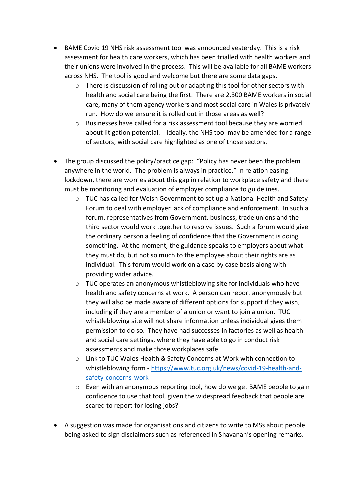- BAME Covid 19 NHS risk assessment tool was announced yesterday. This is a risk assessment for health care workers, which has been trialled with health workers and their unions were involved in the process. This will be available for all BAME workers across NHS. The tool is good and welcome but there are some data gaps.
	- o There is discussion of rolling out or adapting this tool for other sectors with health and social care being the first. There are 2,300 BAME workers in social care, many of them agency workers and most social care in Wales is privately run. How do we ensure it is rolled out in those areas as well?
	- $\circ$  Businesses have called for a risk assessment tool because they are worried about litigation potential. Ideally, the NHS tool may be amended for a range of sectors, with social care highlighted as one of those sectors.
- The group discussed the policy/practice gap: "Policy has never been the problem anywhere in the world. The problem is always in practice." In relation easing lockdown, there are worries about this gap in relation to workplace safety and there must be monitoring and evaluation of employer compliance to guidelines.
	- $\circ$  TUC has called for Welsh Government to set up a National Health and Safety Forum to deal with employer lack of compliance and enforcement. In such a forum, representatives from Government, business, trade unions and the third sector would work together to resolve issues. Such a forum would give the ordinary person a feeling of confidence that the Government is doing something. At the moment, the guidance speaks to employers about what they must do, but not so much to the employee about their rights are as individual. This forum would work on a case by case basis along with providing wider advice.
	- $\circ$  TUC operates an anonymous whistleblowing site for individuals who have health and safety concerns at work. A person can report anonymously but they will also be made aware of different options for support if they wish, including if they are a member of a union or want to join a union. TUC whistleblowing site will not share information unless individual gives them permission to do so. They have had successes in factories as well as health and social care settings, where they have able to go in conduct risk assessments and make those workplaces safe.
	- o Link to TUC Wales Health & Safety Concerns at Work with connection to whistleblowing form - [https://www.tuc.org.uk/news/covid-19-health-and](https://www.tuc.org.uk/news/covid-19-health-and-safety-concerns-work)[safety-concerns-work](https://www.tuc.org.uk/news/covid-19-health-and-safety-concerns-work)
	- o Even with an anonymous reporting tool, how do we get BAME people to gain confidence to use that tool, given the widespread feedback that people are scared to report for losing jobs?
- A suggestion was made for organisations and citizens to write to MSs about people being asked to sign disclaimers such as referenced in Shavanah's opening remarks.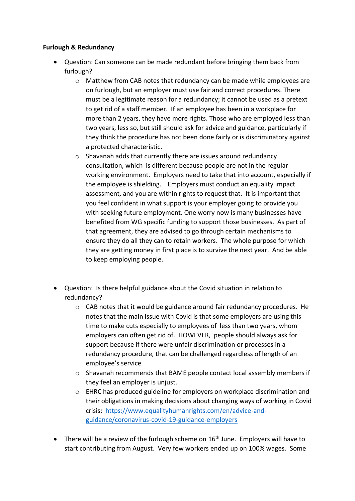## **Furlough & Redundancy**

- Question: Can someone can be made redundant before bringing them back from furlough?
	- o Matthew from CAB notes that redundancy can be made while employees are on furlough, but an employer must use fair and correct procedures. There must be a legitimate reason for a redundancy; it cannot be used as a pretext to get rid of a staff member. If an employee has been in a workplace for more than 2 years, they have more rights. Those who are employed less than two years, less so, but still should ask for advice and guidance, particularly if they think the procedure has not been done fairly or is discriminatory against a protected characteristic.
	- o Shavanah adds that currently there are issues around redundancy consultation, which is different because people are not in the regular working environment. Employers need to take that into account, especially if the employee is shielding. Employers must conduct an equality impact assessment, and you are within rights to request that. It is important that you feel confident in what support is your employer going to provide you with seeking future employment. One worry now is many businesses have benefited from WG specific funding to support those businesses. As part of that agreement, they are advised to go through certain mechanisms to ensure they do all they can to retain workers. The whole purpose for which they are getting money in first place is to survive the next year. And be able to keep employing people.
- Question: Is there helpful guidance about the Covid situation in relation to redundancy?
	- $\circ$  CAB notes that it would be guidance around fair redundancy procedures. He notes that the main issue with Covid is that some employers are using this time to make cuts especially to employees of less than two years, whom employers can often get rid of. HOWEVER, people should always ask for support because if there were unfair discrimination or processes in a redundancy procedure, that can be challenged regardless of length of an employee's service.
	- o Shavanah recommends that BAME people contact local assembly members if they feel an employer is unjust.
	- o EHRC has produced guideline for employers on workplace discrimination and their obligations in making decisions about changing ways of working in Covid crisis: [https://www.equalityhumanrights.com/en/advice-and](https://www.equalityhumanrights.com/en/advice-and-guidance/coronavirus-covid-19-guidance-employers)[guidance/coronavirus-covid-19-guidance-employers](https://www.equalityhumanrights.com/en/advice-and-guidance/coronavirus-covid-19-guidance-employers)
- There will be a review of the furlough scheme on  $16<sup>th</sup>$  June. Employers will have to start contributing from August. Very few workers ended up on 100% wages. Some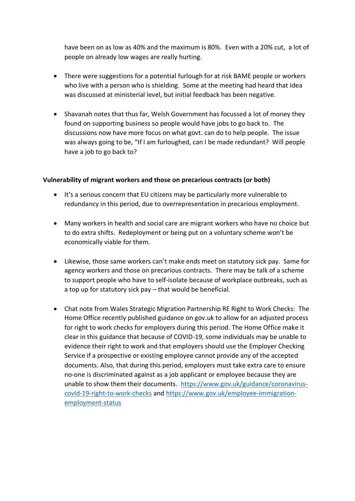have been on as low as 40% and the maximum is 80%. Even with a 20% cut, a lot of people on already low wages are really hurting.

- There were suggestions for a potential furlough for at risk BAME people or workers who live with a person who is shielding. Some at the meeting had heard that idea was discussed at ministerial level, but initial feedback has been negative.
- Shavanah notes that thus far, Welsh Government has focussed a lot of money they found on supporting business so people would have jobs to go back to. The discussions now have more focus on what govt. can do to help people. The issue was always going to be, "If I am furloughed, can I be made redundant? Will people have a job to go back to?

#### **Vulnerability of migrant workers and those on precarious contracts (or both)**

- It's a serious concern that EU citizens may be particularly more vulnerable to redundancy in this period, due to overrepresentation in precarious employment.
- Many workers in health and social care are migrant workers who have no choice but to do extra shifts. Redeployment or being put on a voluntary scheme won't be economically viable for them.
- Likewise, those same workers can't make ends meet on statutory sick pay. Same for agency workers and those on precarious contracts. There may be talk of a scheme to support people who have to self-isolate because of workplace outbreaks, such as a top up for statutory sick pay – that would be beneficial.
- Chat note from Wales Strategic Migration Partnership RE Right to Work Checks: The Home Office recently published guidance on gov.uk to allow for an adjusted process for right to work checks for employers during this period. The Home Office make it clear in this guidance that because of COVID-19, some individuals may be unable to evidence their right to work and that employers should use the Employer Checking Service if a prospective or existing employee cannot provide any of the accepted documents. Also, that during this period, employers must take extra care to ensure no-one is discriminated against as a job applicant or employee because they are unable to show them their documents. [https://www.gov.uk/guidance/coronavirus](https://www.gov.uk/guidance/coronavirus-covid-19-right-to-work-checks)[covid-19-right-to-work-checks](https://www.gov.uk/guidance/coronavirus-covid-19-right-to-work-checks) and [https://www.gov.uk/employee-immigration](https://www.gov.uk/employee-immigration-employment-status)[employment-status](https://www.gov.uk/employee-immigration-employment-status)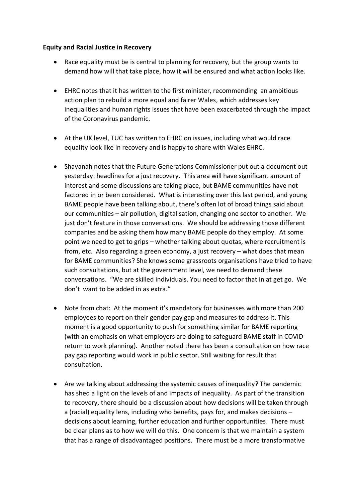#### **Equity and Racial Justice in Recovery**

- Race equality must be is central to planning for recovery, but the group wants to demand how will that take place, how it will be ensured and what action looks like.
- EHRC notes that it has written to the first minister, recommending an ambitious action plan to rebuild a more equal and fairer Wales, which addresses key inequalities and human rights issues that have been exacerbated through the impact of the Coronavirus pandemic.
- At the UK level, TUC has written to EHRC on issues, including what would race equality look like in recovery and is happy to share with Wales EHRC.
- Shavanah notes that the Future Generations Commissioner put out a document out yesterday: headlines for a just recovery. This area will have significant amount of interest and some discussions are taking place, but BAME communities have not factored in or been considered. What is interesting over this last period, and young BAME people have been talking about, there's often lot of broad things said about our communities – air pollution, digitalisation, changing one sector to another. We just don't feature in those conversations. We should be addressing those different companies and be asking them how many BAME people do they employ. At some point we need to get to grips – whether talking about quotas, where recruitment is from, etc. Also regarding a green economy, a just recovery – what does that mean for BAME communities? She knows some grassroots organisations have tried to have such consultations, but at the government level, we need to demand these conversations. "We are skilled individuals. You need to factor that in at get go. We don't want to be added in as extra."
- Note from chat: At the moment it's mandatory for businesses with more than 200 employees to report on their gender pay gap and measures to address it. This moment is a good opportunity to push for something similar for BAME reporting (with an emphasis on what employers are doing to safeguard BAME staff in COVID return to work planning). Another noted there has been a consultation on how race pay gap reporting would work in public sector. Still waiting for result that consultation.
- Are we talking about addressing the systemic causes of inequality? The pandemic has shed a light on the levels of and impacts of inequality. As part of the transition to recovery, there should be a discussion about how decisions will be taken through a (racial) equality lens, including who benefits, pays for, and makes decisions – decisions about learning, further education and further opportunities. There must be clear plans as to how we will do this. One concern is that we maintain a system that has a range of disadvantaged positions. There must be a more transformative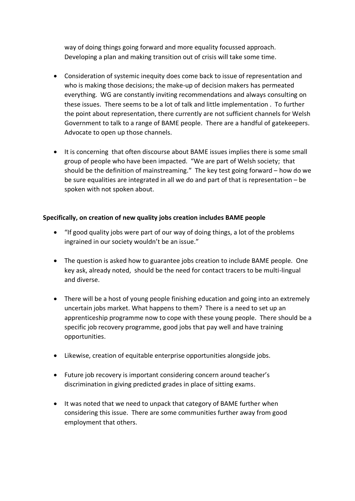way of doing things going forward and more equality focussed approach. Developing a plan and making transition out of crisis will take some time.

- Consideration of systemic inequity does come back to issue of representation and who is making those decisions; the make-up of decision makers has permeated everything. WG are constantly inviting recommendations and always consulting on these issues. There seems to be a lot of talk and little implementation . To further the point about representation, there currently are not sufficient channels for Welsh Government to talk to a range of BAME people. There are a handful of gatekeepers. Advocate to open up those channels.
- It is concerning that often discourse about BAME issues implies there is some small group of people who have been impacted. "We are part of Welsh society; that should be the definition of mainstreaming." The key test going forward – how do we be sure equalities are integrated in all we do and part of that is representation – be spoken with not spoken about.

## **Specifically, on creation of new quality jobs creation includes BAME people**

- "If good quality jobs were part of our way of doing things, a lot of the problems ingrained in our society wouldn't be an issue."
- The question is asked how to guarantee jobs creation to include BAME people. One key ask, already noted, should be the need for contact tracers to be multi-lingual and diverse.
- There will be a host of young people finishing education and going into an extremely uncertain jobs market. What happens to them? There is a need to set up an apprenticeship programme now to cope with these young people. There should be a specific job recovery programme, good jobs that pay well and have training opportunities.
- Likewise, creation of equitable enterprise opportunities alongside jobs.
- Future job recovery is important considering concern around teacher's discrimination in giving predicted grades in place of sitting exams.
- It was noted that we need to unpack that category of BAME further when considering this issue. There are some communities further away from good employment that others.